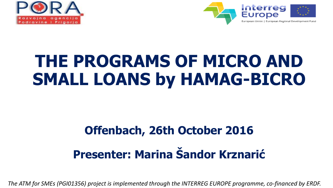



# **THE PROGRAMS OF MICRO AND SMALL LOANS by HAMAG-BICRO**

## **Offenbach, 26th October 2016 Presenter: Marina Šandor Krznarić**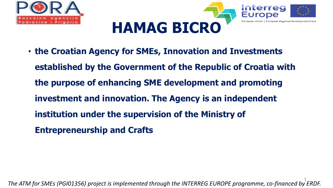



• **the Croatian Agency for SMEs, Innovation and Investments established by the Government of the Republic of Croatia with the purpose of enhancing SME development and promoting investment and innovation. The Agency is an independent institution under the supervision of the Ministry of Entrepreneurship and Crafts**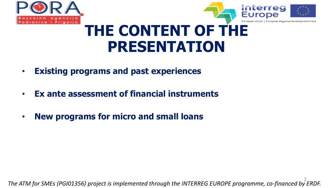



#### **THE CONTENT OF THE PRESENTATION**

- **Existing programs and past experiences**
- **Ex ante assessment of financial instruments**
- **New programs for micro and small loans**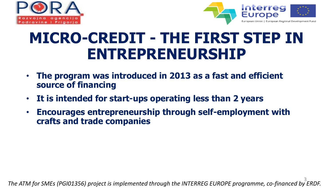



### **MICRO-CREDIT - THE FIRST STEP IN ENTREPRENEURSHIP**

- **The program was introduced in 2013 as a fast and efficient source of financing**
- **It is intended for start-ups operating less than 2 years**
- **Encourages entrepreneurship through self-employment with crafts and trade companies**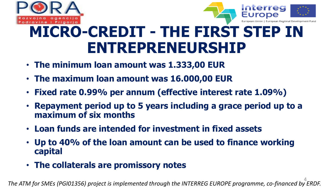



### **MICRO-CREDIT - THE FIRST STEP IN ENTREPRENEURSHIP**

- **The minimum loan amount was 1.333,00 EUR**
- **The maximum loan amount was 16.000,00 EUR**
- **Fixed rate 0.99% per annum (effective interest rate 1.09%)**
- **Repayment period up to 5 years including a grace period up to a maximum of six months**
- **Loan funds are intended for investment in fixed assets**
- **Up to 40% of the loan amount can be used to finance working capital**
- **The collaterals are promissory notes**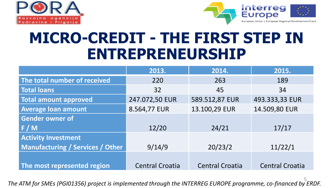



#### **MICRO-CREDIT - THE FIRST STEP IN ENTREPRENEURSHIP**

|                                         | 2013.                  | 2014.                  | 2015.                  |
|-----------------------------------------|------------------------|------------------------|------------------------|
| The total number of received            | 220                    | 263                    | 189                    |
| <b>Total loans</b>                      | 32                     | 45                     | 34                     |
| <b>Total amount approved</b>            | 247.072,50 EUR         | 589.512,87 EUR         | 493.333,33 EUR         |
| <b>Average loan amount</b>              | 8.564,77 EUR           | 13.100,29 EUR          | 14.509,80 EUR          |
| <b>Gender owner of</b>                  |                        |                        |                        |
| F/M                                     | 12/20                  | 24/21                  | 17/17                  |
| <b>Activity Investment</b>              |                        |                        |                        |
| <b>Manufacturing / Services / Other</b> | 9/14/9                 | 20/23/2                | 11/22/1                |
|                                         |                        |                        |                        |
| The most represented region             | <b>Central Croatia</b> | <b>Central Croatia</b> | <b>Central Croatia</b> |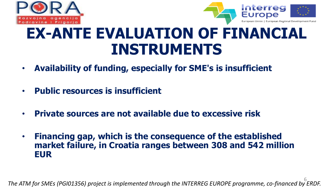



#### **EX-ANTE EVALUATION OF FINANCIAL INSTRUMENTS**

- **Availability of funding, especially for SME's is insufficient**
- **Public resources is insufficient**
- **Private sources are not available due to excessive risk**
- **Financing gap, which is the consequence of the established market failure, in Croatia ranges between 308 and 542 million EUR**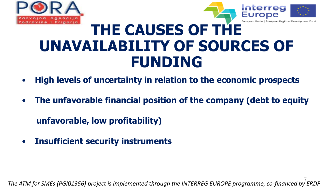



#### **THE CAUSES OF THE UNAVAILABILITY OF SOURCES OF FUNDING**

- **High levels of uncertainty in relation to the economic prospects**
- **The unfavorable financial position of the company (debt to equity**

 **unfavorable, low profitability)**

• **Insufficient security instruments**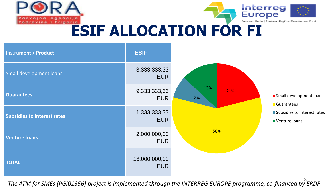



# **ESIF ALLOCATION FOR FI**

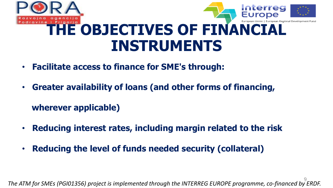

- • **Facilitate access to finance for SME's through:**
- • **Greater availability of loans (and other forms of financing,**

 **wherever applicable)**

- • **Reducing interest rates, including margin related to the risk**
- • **Reducing the level of funds needed security (collateral)**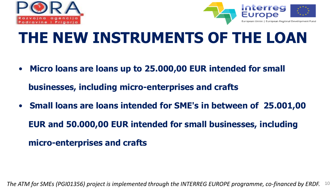



## **THE NEW INSTRUMENTS OF THE LOAN**

• **Micro loans are loans up to 25.000,00 EUR intended for small** 

 **businesses, including micro-enterprises and crafts**

• **Small loans are loans intended for SME's in between of 25.001,00 EUR and 50.000,00 EUR intended for small businesses, including micro-enterprises and crafts**